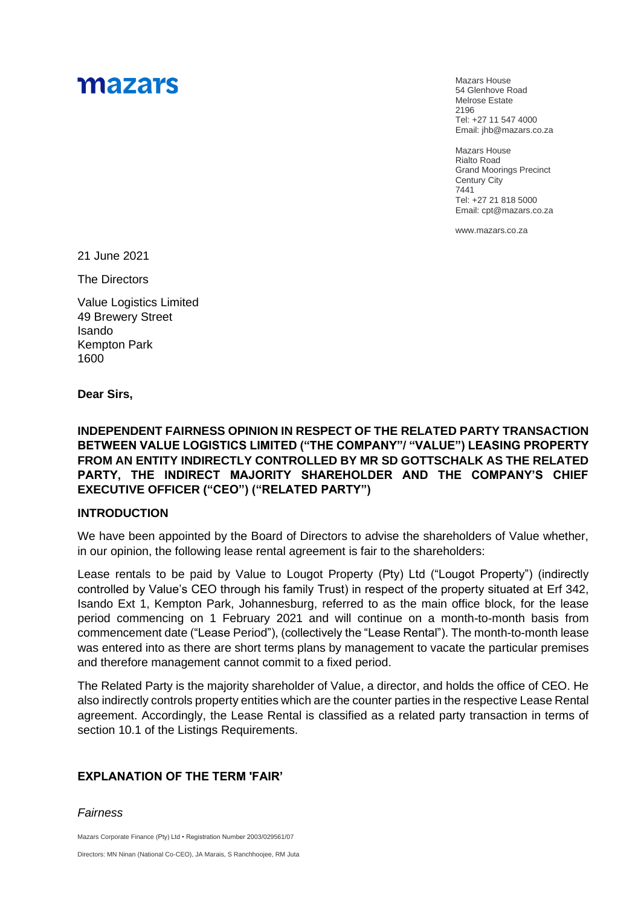# mazars

Mazars House 54 Glenhove Road Melrose Estate 2196 Tel: +27 11 547 4000 Email: jhb@mazars.co.za

Mazars House Rialto Road Grand Moorings Precinct Century City 7441 Tel: +27 21 818 5000 Email: cpt@mazars.co.za

[www.mazars.co.za](http://www.mazars.com/)

21 June 2021

The Directors

Value Logistics Limited 49 Brewery Street Isando Kempton Park 1600

**Dear Sirs,**

**INDEPENDENT FAIRNESS OPINION IN RESPECT OF THE RELATED PARTY TRANSACTION BETWEEN VALUE LOGISTICS LIMITED ("THE COMPANY"/ "VALUE") LEASING PROPERTY FROM AN ENTITY INDIRECTLY CONTROLLED BY MR SD GOTTSCHALK AS THE RELATED PARTY, THE INDIRECT MAJORITY SHAREHOLDER AND THE COMPANY'S CHIEF EXECUTIVE OFFICER ("CEO") ("RELATED PARTY")** 

#### **INTRODUCTION**

We have been appointed by the Board of Directors to advise the shareholders of Value whether, in our opinion, the following lease rental agreement is fair to the shareholders:

Lease rentals to be paid by Value to Lougot Property (Pty) Ltd ("Lougot Property") (indirectly controlled by Value's CEO through his family Trust) in respect of the property situated at Erf 342, Isando Ext 1, Kempton Park, Johannesburg, referred to as the main office block, for the lease period commencing on 1 February 2021 and will continue on a month-to-month basis from commencement date ("Lease Period"), (collectively the "Lease Rental"). The month-to-month lease was entered into as there are short terms plans by management to vacate the particular premises and therefore management cannot commit to a fixed period.

The Related Party is the majority shareholder of Value, a director, and holds the office of CEO. He also indirectly controls property entities which are the counter parties in the respective Lease Rental agreement. Accordingly, the Lease Rental is classified as a related party transaction in terms of section 10.1 of the Listings Requirements.

## **EXPLANATION OF THE TERM 'FAIR'**

*Fairness*

Mazars Corporate Finance (Pty) Ltd • Registration Number 2003/029561/07

Directors: MN Ninan (National Co-CEO), JA Marais, S Ranchhoojee, RM Juta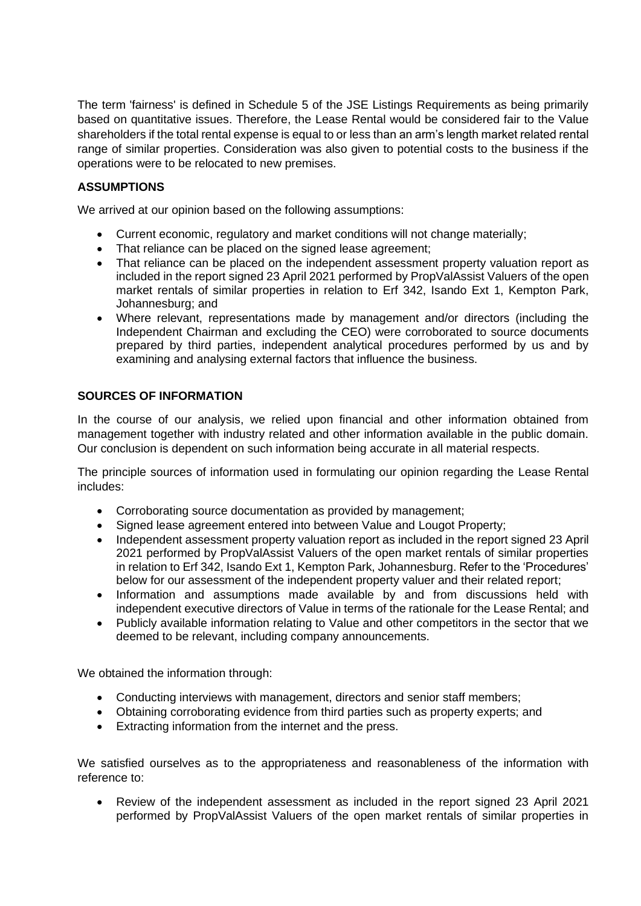The term 'fairness' is defined in Schedule 5 of the JSE Listings Requirements as being primarily based on quantitative issues. Therefore, the Lease Rental would be considered fair to the Value shareholders if the total rental expense is equal to or less than an arm's length market related rental range of similar properties. Consideration was also given to potential costs to the business if the operations were to be relocated to new premises.

# **ASSUMPTIONS**

We arrived at our opinion based on the following assumptions:

- Current economic, regulatory and market conditions will not change materially;
- That reliance can be placed on the signed lease agreement;
- That reliance can be placed on the independent assessment property valuation report as included in the report signed 23 April 2021 performed by PropValAssist Valuers of the open market rentals of similar properties in relation to Erf 342, Isando Ext 1, Kempton Park, Johannesburg; and
- Where relevant, representations made by management and/or directors (including the Independent Chairman and excluding the CEO) were corroborated to source documents prepared by third parties, independent analytical procedures performed by us and by examining and analysing external factors that influence the business.

## **SOURCES OF INFORMATION**

In the course of our analysis, we relied upon financial and other information obtained from management together with industry related and other information available in the public domain. Our conclusion is dependent on such information being accurate in all material respects.

The principle sources of information used in formulating our opinion regarding the Lease Rental includes:

- Corroborating source documentation as provided by management;
- Signed lease agreement entered into between Value and Lougot Property;
- Independent assessment property valuation report as included in the report signed 23 April 2021 performed by PropValAssist Valuers of the open market rentals of similar properties in relation to Erf 342, Isando Ext 1, Kempton Park, Johannesburg. Refer to the 'Procedures' below for our assessment of the independent property valuer and their related report;
- Information and assumptions made available by and from discussions held with independent executive directors of Value in terms of the rationale for the Lease Rental; and
- Publicly available information relating to Value and other competitors in the sector that we deemed to be relevant, including company announcements.

We obtained the information through:

- Conducting interviews with management, directors and senior staff members;
- Obtaining corroborating evidence from third parties such as property experts; and
- Extracting information from the internet and the press.

We satisfied ourselves as to the appropriateness and reasonableness of the information with reference to:

• Review of the independent assessment as included in the report signed 23 April 2021 performed by PropValAssist Valuers of the open market rentals of similar properties in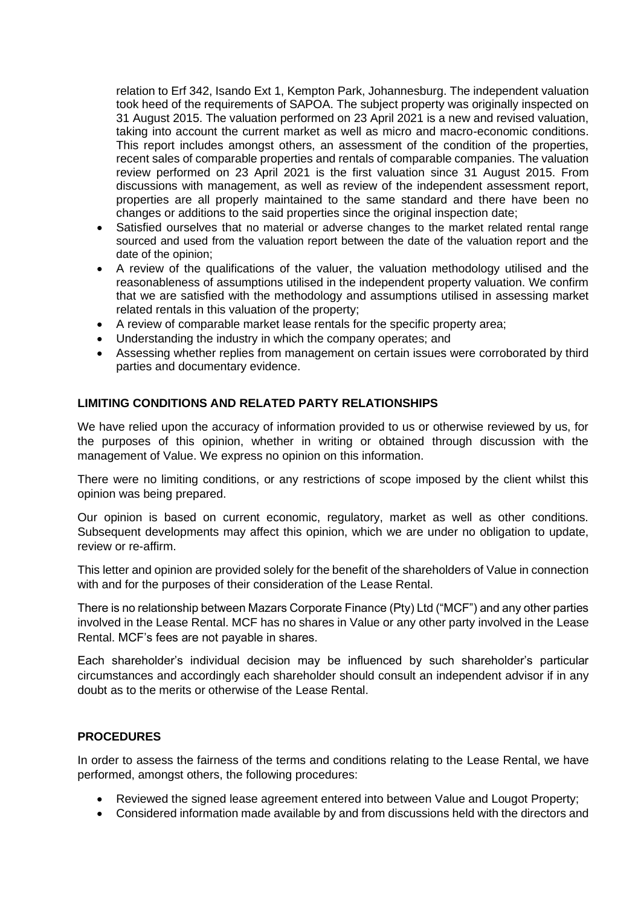relation to Erf 342, Isando Ext 1, Kempton Park, Johannesburg. The independent valuation took heed of the requirements of SAPOA. The subject property was originally inspected on 31 August 2015. The valuation performed on 23 April 2021 is a new and revised valuation, taking into account the current market as well as micro and macro-economic conditions. This report includes amongst others, an assessment of the condition of the properties, recent sales of comparable properties and rentals of comparable companies. The valuation review performed on 23 April 2021 is the first valuation since 31 August 2015. From discussions with management, as well as review of the independent assessment report, properties are all properly maintained to the same standard and there have been no changes or additions to the said properties since the original inspection date;

- Satisfied ourselves that no material or adverse changes to the market related rental range sourced and used from the valuation report between the date of the valuation report and the date of the opinion;
- A review of the qualifications of the valuer, the valuation methodology utilised and the reasonableness of assumptions utilised in the independent property valuation. We confirm that we are satisfied with the methodology and assumptions utilised in assessing market related rentals in this valuation of the property;
- A review of comparable market lease rentals for the specific property area;
- Understanding the industry in which the company operates; and
- Assessing whether replies from management on certain issues were corroborated by third parties and documentary evidence.

#### **LIMITING CONDITIONS AND RELATED PARTY RELATIONSHIPS**

We have relied upon the accuracy of information provided to us or otherwise reviewed by us, for the purposes of this opinion, whether in writing or obtained through discussion with the management of Value. We express no opinion on this information.

There were no limiting conditions, or any restrictions of scope imposed by the client whilst this opinion was being prepared.

Our opinion is based on current economic, regulatory, market as well as other conditions. Subsequent developments may affect this opinion, which we are under no obligation to update, review or re-affirm.

This letter and opinion are provided solely for the benefit of the shareholders of Value in connection with and for the purposes of their consideration of the Lease Rental.

There is no relationship between Mazars Corporate Finance (Pty) Ltd ("MCF") and any other parties involved in the Lease Rental. MCF has no shares in Value or any other party involved in the Lease Rental. MCF's fees are not payable in shares.

Each shareholder's individual decision may be influenced by such shareholder's particular circumstances and accordingly each shareholder should consult an independent advisor if in any doubt as to the merits or otherwise of the Lease Rental.

#### **PROCEDURES**

In order to assess the fairness of the terms and conditions relating to the Lease Rental, we have performed, amongst others, the following procedures:

- Reviewed the signed lease agreement entered into between Value and Lougot Property;
- Considered information made available by and from discussions held with the directors and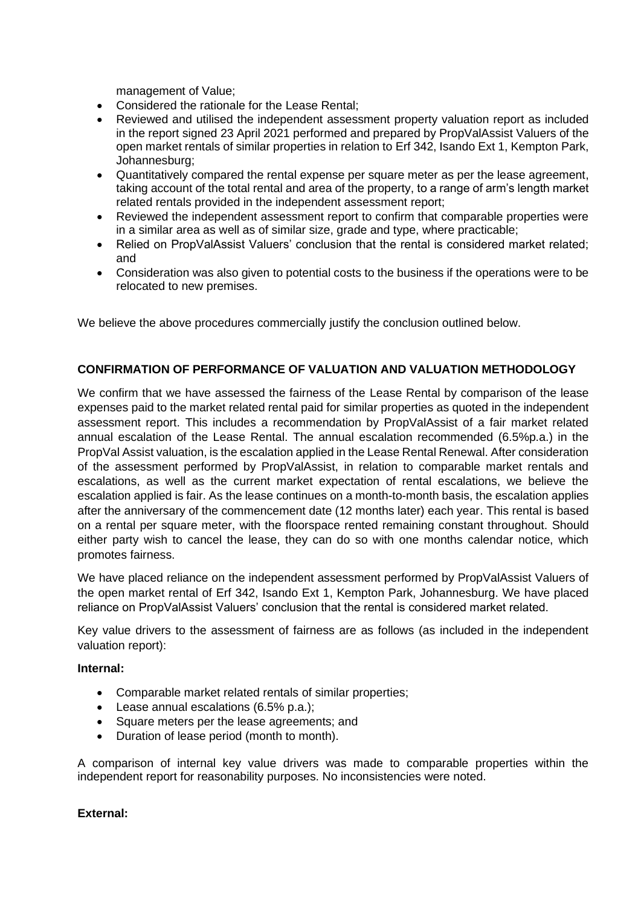management of Value;

- Considered the rationale for the Lease Rental;
- Reviewed and utilised the independent assessment property valuation report as included in the report signed 23 April 2021 performed and prepared by PropValAssist Valuers of the open market rentals of similar properties in relation to Erf 342, Isando Ext 1, Kempton Park, Johannesburg;
- Quantitatively compared the rental expense per square meter as per the lease agreement, taking account of the total rental and area of the property, to a range of arm's length market related rentals provided in the independent assessment report;
- Reviewed the independent assessment report to confirm that comparable properties were in a similar area as well as of similar size, grade and type, where practicable;
- Relied on PropValAssist Valuers' conclusion that the rental is considered market related: and
- Consideration was also given to potential costs to the business if the operations were to be relocated to new premises.

We believe the above procedures commercially justify the conclusion outlined below.

## **CONFIRMATION OF PERFORMANCE OF VALUATION AND VALUATION METHODOLOGY**

We confirm that we have assessed the fairness of the Lease Rental by comparison of the lease expenses paid to the market related rental paid for similar properties as quoted in the independent assessment report. This includes a recommendation by PropValAssist of a fair market related annual escalation of the Lease Rental. The annual escalation recommended (6.5%p.a.) in the PropVal Assist valuation, is the escalation applied in the Lease Rental Renewal. After consideration of the assessment performed by PropValAssist, in relation to comparable market rentals and escalations, as well as the current market expectation of rental escalations, we believe the escalation applied is fair. As the lease continues on a month-to-month basis, the escalation applies after the anniversary of the commencement date (12 months later) each year. This rental is based on a rental per square meter, with the floorspace rented remaining constant throughout. Should either party wish to cancel the lease, they can do so with one months calendar notice, which promotes fairness.

We have placed reliance on the independent assessment performed by PropValAssist Valuers of the open market rental of Erf 342, Isando Ext 1, Kempton Park, Johannesburg. We have placed reliance on PropValAssist Valuers' conclusion that the rental is considered market related.

Key value drivers to the assessment of fairness are as follows (as included in the independent valuation report):

#### **Internal:**

- Comparable market related rentals of similar properties;
- Lease annual escalations (6.5% p.a.);
- Square meters per the lease agreements; and
- Duration of lease period (month to month).

A comparison of internal key value drivers was made to comparable properties within the independent report for reasonability purposes. No inconsistencies were noted.

## **External:**